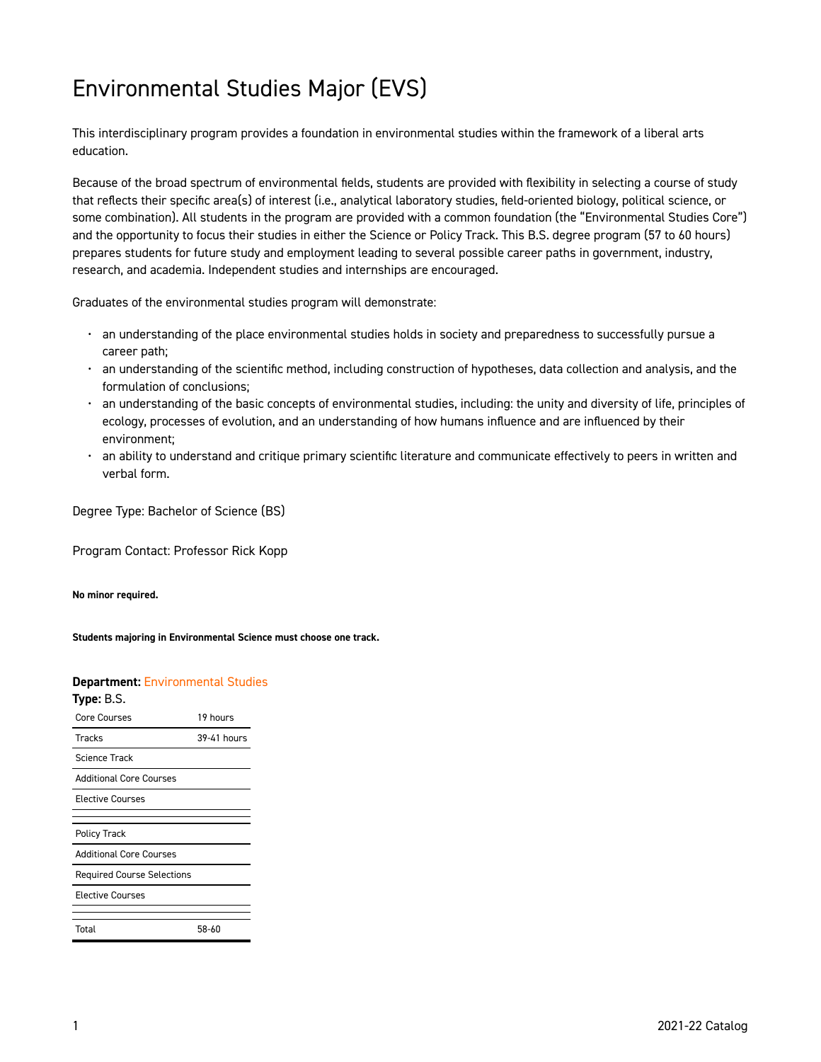# Environmental Studies Major (EVS)

This interdisciplinary program provides a foundation in environmental studies within the framework of a liberal arts education.

Because of the broad spectrum of environmental fields, students are provided with flexibility in selecting a course of study that reflects their specific area(s) of interest (i.e., analytical laboratory studies, field-oriented biology, political science, or some combination). All students in the program are provided with a common foundation (the "Environmental Studies Core") and the opportunity to focus their studies in either the Science or Policy Track. This B.S. degree program (57 to 60 hours) prepares students for future study and employment leading to several possible career paths in government, industry, research, and academia. Independent studies and internships are encouraged.

Graduates of the environmental studies program will demonstrate:

- an understanding of the place environmental studies holds in society and preparedness to successfully pursue a career path;
- an understanding of the scientific method, including construction of hypotheses, data collection and analysis, and the formulation of conclusions;
- an understanding of the basic concepts of environmental studies, including: the unity and diversity of life, principles of ecology, processes of evolution, and an understanding of how humans influence and are influenced by their environment;
- an ability to understand and critique primary scientific literature and communicate effectively to peers in written and verbal form.

Degree Type: Bachelor of Science (BS)

Program Contact: Professor Rick Kopp

**No minor required.** 

**Students majoring in Environmental Science must choose one track.** 

#### **Department:** [Environmental Studies](https://catalog.georgetowncollege.edu/environmental-studies)

| Type: B.S.                        |             |
|-----------------------------------|-------------|
| Core Courses                      | 19 hours    |
| <b>Tracks</b>                     | 39-41 hours |
| Science Track                     |             |
| <b>Additional Core Courses</b>    |             |
| <b>Elective Courses</b>           |             |
|                                   |             |
| <b>Policy Track</b>               |             |
| <b>Additional Core Courses</b>    |             |
| <b>Required Course Selections</b> |             |
| <b>Elective Courses</b>           |             |
|                                   |             |
| Total                             | 58-60       |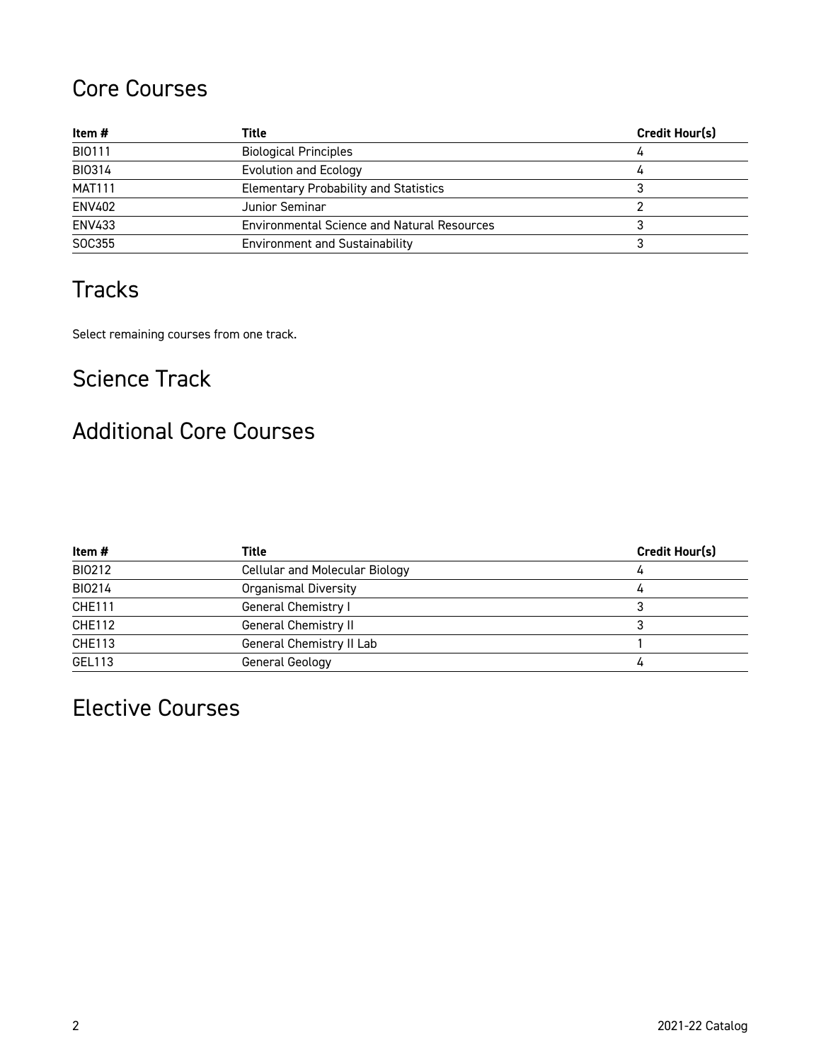## Core Courses

| Item #        | Title                                              | Credit Hour(s) |
|---------------|----------------------------------------------------|----------------|
| BI0111        | <b>Biological Principles</b>                       |                |
| <b>BI0314</b> | Evolution and Ecology                              | 4              |
| <b>MAT111</b> | <b>Elementary Probability and Statistics</b>       |                |
| ENV402        | Junior Seminar                                     |                |
| <b>ENV433</b> | <b>Environmental Science and Natural Resources</b> |                |
| SOC355        | <b>Environment and Sustainability</b>              |                |

## **Tracks**

Select remaining courses from one track.

## Science Track

## Additional Core Courses

| Item #        | Title                                 | Credit Hour(s) |
|---------------|---------------------------------------|----------------|
| BI0212        | <b>Cellular and Molecular Biology</b> | 4              |
| BI0214        | <b>Organismal Diversity</b>           |                |
| CHE111        | General Chemistry I                   |                |
| CHE112        | General Chemistry II                  |                |
| <b>CHE113</b> | General Chemistry II Lab              |                |
| GEL113        | General Geology                       | 4              |

# Elective Courses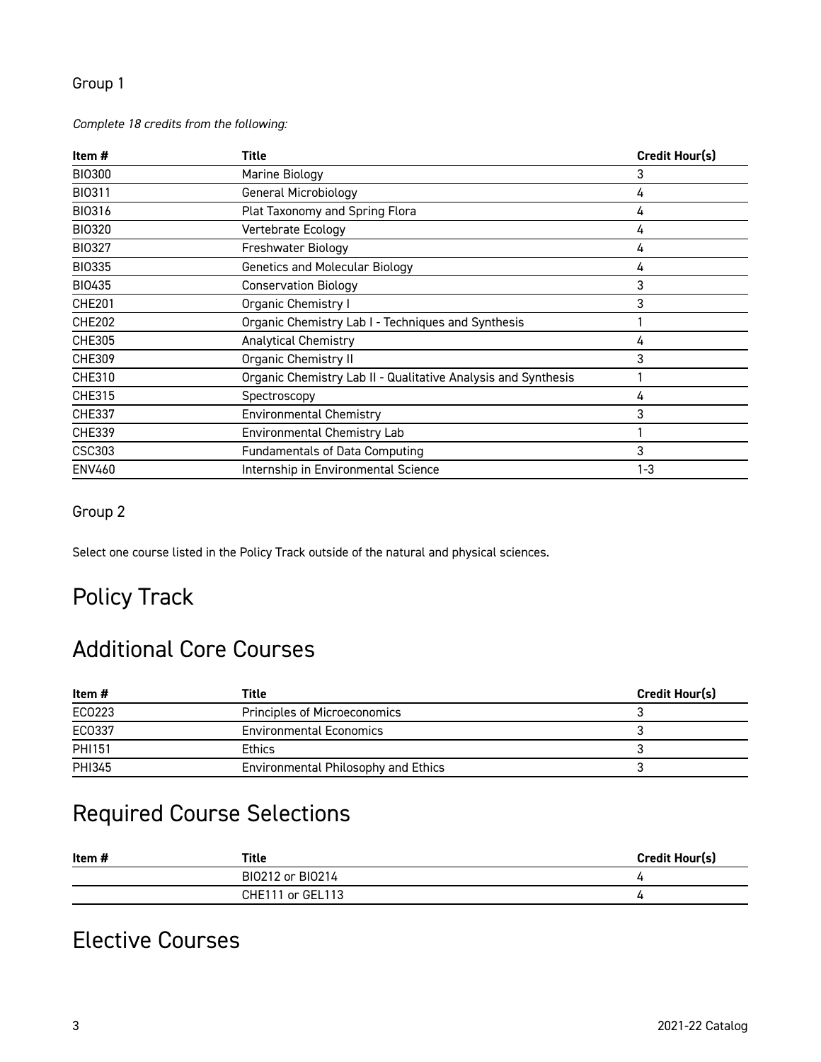### Group 1

#### *Complete 18 credits from the following:*

| Item #        | Title                                                         | Credit Hour(s) |
|---------------|---------------------------------------------------------------|----------------|
| <b>BI0300</b> | Marine Biology                                                | 3              |
| <b>BI0311</b> | General Microbiology                                          | 4              |
| <b>BI0316</b> | Plat Taxonomy and Spring Flora                                | 4              |
| <b>BI0320</b> | Vertebrate Ecology                                            | 4              |
| <b>BI0327</b> | Freshwater Biology                                            | 4              |
| <b>BI0335</b> | <b>Genetics and Molecular Biology</b>                         | 4              |
| BI0435        | <b>Conservation Biology</b>                                   | 3              |
| <b>CHE201</b> | Organic Chemistry I                                           | 3              |
| <b>CHE202</b> | Organic Chemistry Lab I - Techniques and Synthesis            |                |
| <b>CHE305</b> | <b>Analytical Chemistry</b>                                   | 4              |
| <b>CHE309</b> | Organic Chemistry II                                          | 3              |
| <b>CHE310</b> | Organic Chemistry Lab II - Qualitative Analysis and Synthesis |                |
| <b>CHE315</b> | Spectroscopy                                                  | 4              |
| <b>CHE337</b> | <b>Environmental Chemistry</b>                                | 3              |
| <b>CHE339</b> | Environmental Chemistry Lab                                   |                |
| CSC303        | Fundamentals of Data Computing                                | 3              |
| <b>ENV460</b> | Internship in Environmental Science                           | $1 - 3$        |

### Group 2

Select one course listed in the Policy Track outside of the natural and physical sciences.

### Policy Track

### Additional Core Courses

| Item #        | Title                               | <b>Credit Hour(s)</b> |
|---------------|-------------------------------------|-----------------------|
| EC0223        | Principles of Microeconomics        |                       |
| EC0337        | <b>Environmental Economics</b>      |                       |
| <b>PHI151</b> | <b>Ethics</b>                       |                       |
| PHI345        | Environmental Philosophy and Ethics |                       |

# Required Course Selections

| Item # | Title            | <b>Credit Hour(s)</b> |
|--------|------------------|-----------------------|
|        | BI0212 or BI0214 |                       |
|        | CHE111 or GEL113 |                       |

### Elective Courses